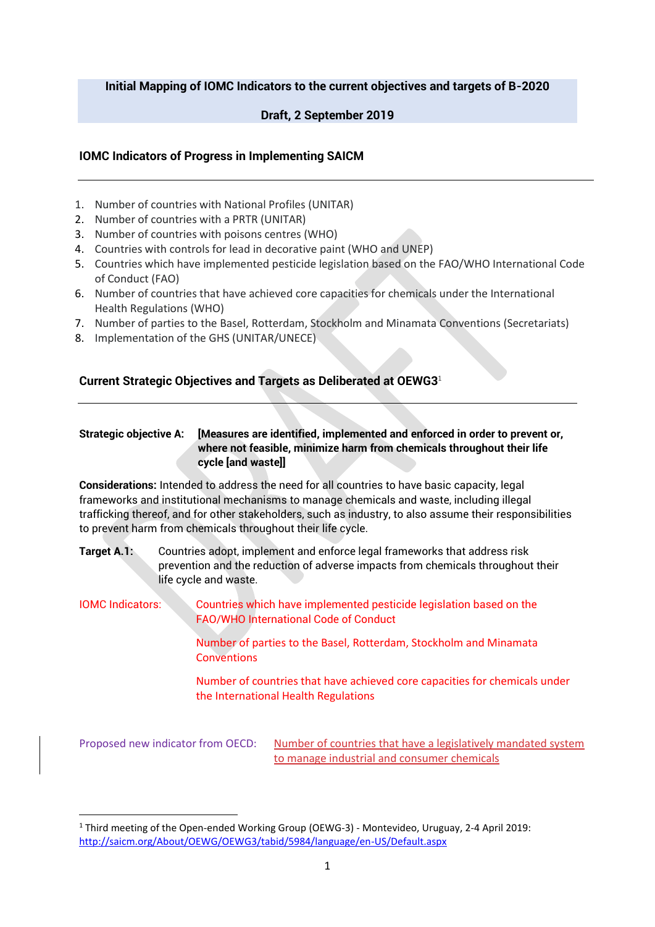## **Initial Mapping of IOMC Indicators to the current objectives and targets of B-2020**

# **Draft, 2 September 2019**

## **IOMC Indicators of Progress in Implementing SAICM**

- 1. Number of countries with National Profiles (UNITAR)
- 2. Number of countries with a PRTR (UNITAR)
- 3. Number of countries with poisons centres (WHO)
- 4. Countries with controls for lead in decorative paint (WHO and UNEP)
- 5. Countries which have implemented pesticide legislation based on the FAO/WHO International Code of Conduct (FAO)
- 6. Number of countries that have achieved core capacities for chemicals under the International Health Regulations (WHO)
- 7. Number of parties to the Basel, Rotterdam, Stockholm and Minamata Conventions (Secretariats)
- 8. Implementation of the GHS (UNITAR/UNECE)

# **Current Strategic Objectives and Targets as Deliberated at OEWG3**<sup>1</sup>

## **Strategic objective A: [Measures are identified, implemented and enforced in order to prevent or, where not feasible, minimize harm from chemicals throughout their life cycle [and waste]]**

**Considerations:** Intended to address the need for all countries to have basic capacity, legal frameworks and institutional mechanisms to manage chemicals and waste, including illegal trafficking thereof, and for other stakeholders, such as industry, to also assume their responsibilities to prevent harm from chemicals throughout their life cycle.

**Target A.1:** Countries adopt, implement and enforce legal frameworks that address risk prevention and the reduction of adverse impacts from chemicals throughout their life cycle and waste.

IOMC Indicators: Countries which have implemented pesticide legislation based on the FAO/WHO International Code of Conduct

> Number of parties to the Basel, Rotterdam, Stockholm and Minamata **Conventions**

Number of countries that have achieved core capacities for chemicals under the International Health Regulations

Proposed new indicator from OECD: Number of countries that have a legislatively mandated system to manage industrial and consumer chemicals

<sup>1</sup> Third meeting of the Open-ended Working Group (OEWG-3) - Montevideo, Uruguay, 2-4 April 2019: <http://saicm.org/About/OEWG/OEWG3/tabid/5984/language/en-US/Default.aspx>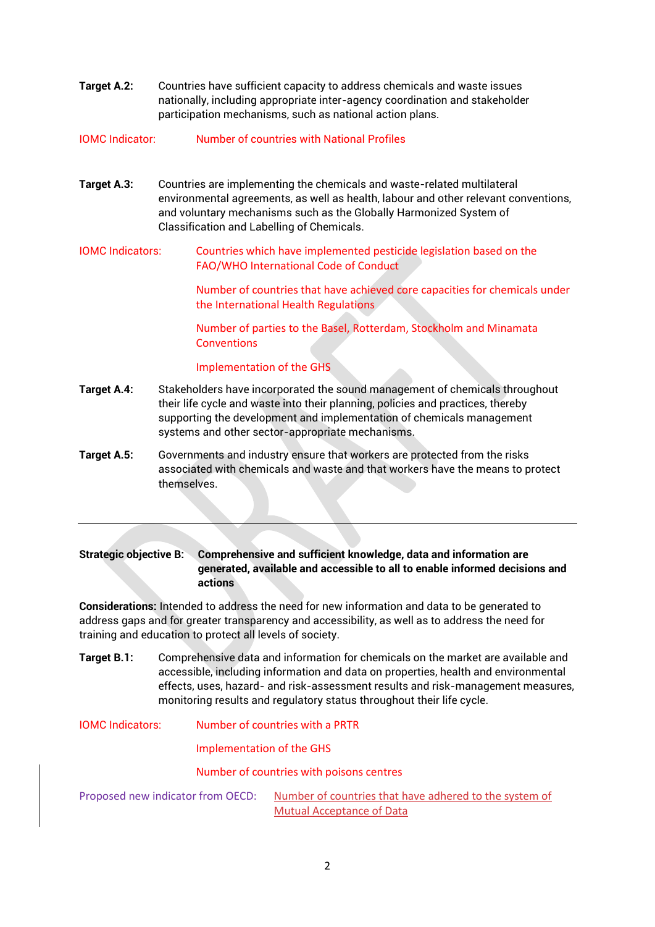**Target A.2:** Countries have sufficient capacity to address chemicals and waste issues nationally, including appropriate inter-agency coordination and stakeholder participation mechanisms, such as national action plans.

IOMC Indicator: Number of countries with National Profiles

- **Target A.3:** Countries are implementing the chemicals and waste-related multilateral environmental agreements, as well as health, labour and other relevant conventions, and voluntary mechanisms such as the Globally Harmonized System of Classification and Labelling of Chemicals.
- IOMC Indicators: Countries which have implemented pesticide legislation based on the FAO/WHO International Code of Conduct

Number of countries that have achieved core capacities for chemicals under the International Health Regulations

Number of parties to the Basel, Rotterdam, Stockholm and Minamata **Conventions** 

#### Implementation of the GHS

- **Target A.4:** Stakeholders have incorporated the sound management of chemicals throughout their life cycle and waste into their planning, policies and practices, thereby supporting the development and implementation of chemicals management systems and other sector-appropriate mechanisms.
- **Target A.5:** Governments and industry ensure that workers are protected from the risks associated with chemicals and waste and that workers have the means to protect themselves.

### **Strategic objective B: Comprehensive and sufficient knowledge, data and information are generated, available and accessible to all to enable informed decisions and actions**

**Considerations:** Intended to address the need for new information and data to be generated to address gaps and for greater transparency and accessibility, as well as to address the need for training and education to protect all levels of society.

**Target B.1:** Comprehensive data and information for chemicals on the market are available and accessible, including information and data on properties, health and environmental effects, uses, hazard- and risk-assessment results and risk-management measures, monitoring results and regulatory status throughout their life cycle.

IOMC Indicators: Number of countries with a PRTR

Implementation of the GHS

Number of countries with poisons centres

Proposed new indicator from OECD: Number of countries that have adhered to the system of Mutual Acceptance of Data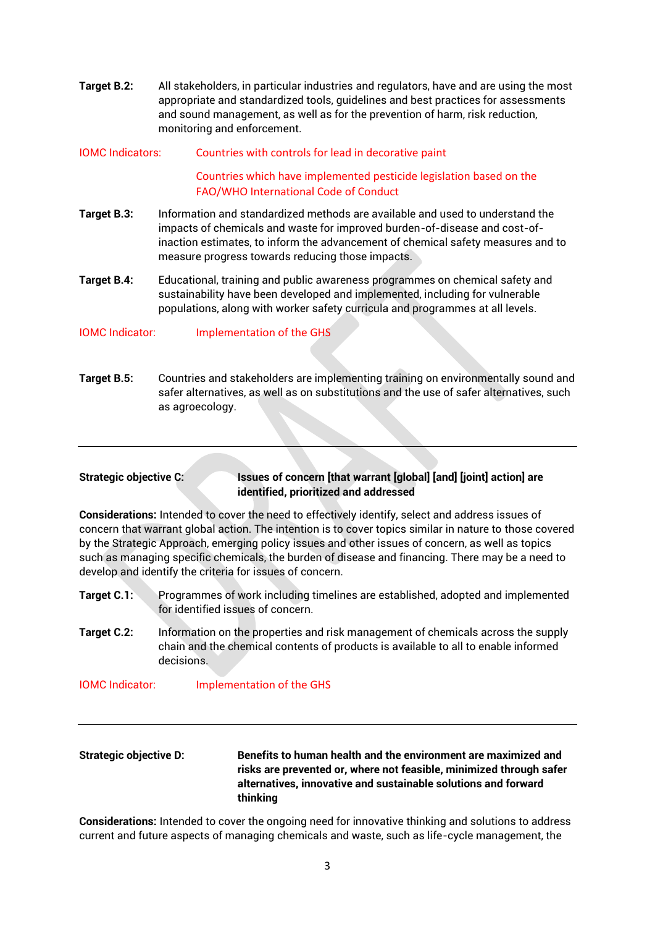**Target B.2:** All stakeholders, in particular industries and regulators, have and are using the most appropriate and standardized tools, guidelines and best practices for assessments and sound management, as well as for the prevention of harm, risk reduction, monitoring and enforcement.

### IOMC Indicators: Countries with controls for lead in decorative paint

Countries which have implemented pesticide legislation based on the FAO/WHO International Code of Conduct

- **Target B.3:** Information and standardized methods are available and used to understand the impacts of chemicals and waste for improved burden-of-disease and cost-ofinaction estimates, to inform the advancement of chemical safety measures and to measure progress towards reducing those impacts.
- **Target B.4:** Educational, training and public awareness programmes on chemical safety and sustainability have been developed and implemented, including for vulnerable populations, along with worker safety curricula and programmes at all levels.

IOMC Indicator: Implementation of the GHS

**Target B.5:** Countries and stakeholders are implementing training on environmentally sound and safer alternatives, as well as on substitutions and the use of safer alternatives, such as agroecology.

#### **Strategic objective C: Issues of concern [that warrant [global] [and] [joint] action] are identified, prioritized and addressed**

**Considerations:** Intended to cover the need to effectively identify, select and address issues of concern that warrant global action. The intention is to cover topics similar in nature to those covered by the Strategic Approach, emerging policy issues and other issues of concern, as well as topics such as managing specific chemicals, the burden of disease and financing. There may be a need to develop and identify the criteria for issues of concern.

- **Target C.1:** Programmes of work including timelines are established, adopted and implemented for identified issues of concern.
- **Target C.2:** Information on the properties and risk management of chemicals across the supply chain and the chemical contents of products is available to all to enable informed decisions.

IOMC Indicator: Implementation of the GHS

# **Strategic objective D: Benefits to human health and the environment are maximized and risks are prevented or, where not feasible, minimized through safer alternatives, innovative and sustainable solutions and forward thinking**

**Considerations:** Intended to cover the ongoing need for innovative thinking and solutions to address current and future aspects of managing chemicals and waste, such as life-cycle management, the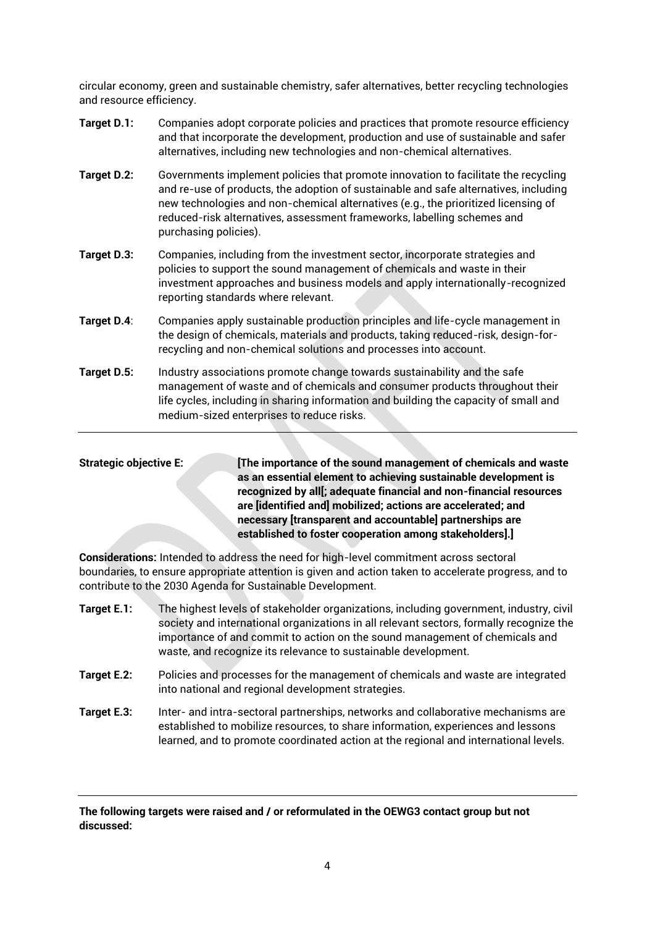circular economy, green and sustainable chemistry, safer alternatives, better recycling technologies and resource efficiency.

- **Target D.1:** Companies adopt corporate policies and practices that promote resource efficiency and that incorporate the development, production and use of sustainable and safer alternatives, including new technologies and non-chemical alternatives.
- **Target D.2:** Governments implement policies that promote innovation to facilitate the recycling and re-use of products, the adoption of sustainable and safe alternatives, including new technologies and non-chemical alternatives (e.g., the prioritized licensing of reduced-risk alternatives, assessment frameworks, labelling schemes and purchasing policies).
- **Target D.3:** Companies, including from the investment sector, incorporate strategies and policies to support the sound management of chemicals and waste in their investment approaches and business models and apply internationally-recognized reporting standards where relevant.
- **Target D.4**: Companies apply sustainable production principles and life-cycle management in the design of chemicals, materials and products, taking reduced-risk, design-forrecycling and non-chemical solutions and processes into account.
- **Target D.5:** Industry associations promote change towards sustainability and the safe management of waste and of chemicals and consumer products throughout their life cycles, including in sharing information and building the capacity of small and medium-sized enterprises to reduce risks.

Strategic objective E: **[The importance of the sound management of chemicals and waste as an essential element to achieving sustainable development is recognized by all[; adequate financial and non-financial resources are [identified and] mobilized; actions are accelerated; and necessary [transparent and accountable] partnerships are established to foster cooperation among stakeholders].]**

**Considerations:** Intended to address the need for high-level commitment across sectoral boundaries, to ensure appropriate attention is given and action taken to accelerate progress, and to contribute to the 2030 Agenda for Sustainable Development.

- **Target E.1:** The highest levels of stakeholder organizations, including government, industry, civil society and international organizations in all relevant sectors, formally recognize the importance of and commit to action on the sound management of chemicals and waste, and recognize its relevance to sustainable development.
- **Target E.2:** Policies and processes for the management of chemicals and waste are integrated into national and regional development strategies.
- **Target E.3:** Inter- and intra-sectoral partnerships, networks and collaborative mechanisms are established to mobilize resources, to share information, experiences and lessons learned, and to promote coordinated action at the regional and international levels.

**The following targets were raised and / or reformulated in the OEWG3 contact group but not discussed:**